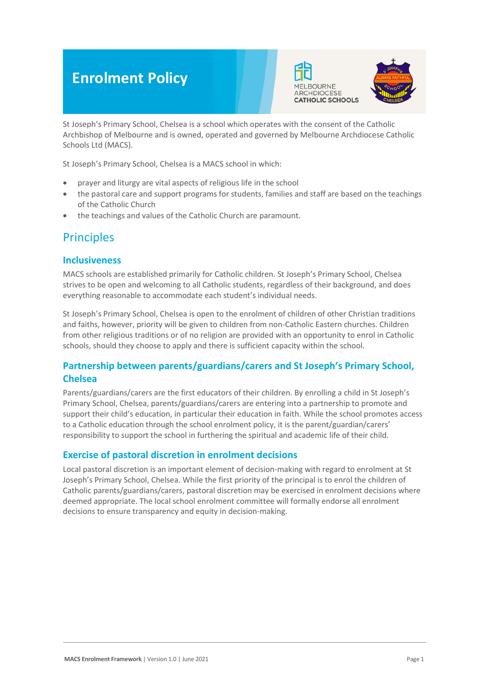# **Enrolment Policy**





St Joseph's Primary School, Chelsea is a school which operates with the consent of the Catholic Archbishop of Melbourne and is owned, operated and governed by Melbourne Archdiocese Catholic Schools Ltd (MACS).

St Joseph's Primary School, Chelsea is a MACS school in which:

- prayer and liturgy are vital aspects of religious life in the school
- the pastoral care and support programs for students, families and staff are based on the teachings of the Catholic Church
- the teachings and values of the Catholic Church are paramount.

# **Principles**

#### **Inclusiveness**

MACS schools are established primarily for Catholic children. St Joseph's Primary School, Chelsea strives to be open and welcoming to all Catholic students, regardless of their background, and does everything reasonable to accommodate each student's individual needs.

St Joseph's Primary School, Chelsea is open to the enrolment of children of other Christian traditions and faiths, however, priority will be given to children from non-Catholic Eastern churches. Children from other religious traditions or of no religion are provided with an opportunity to enrol in Catholic schools, should they choose to apply and there is sufficient capacity within the school.

### **Partnership between parents/guardians/carers and St Joseph's Primary School, Chelsea**

Parents/guardians/carers are the first educators of their children. By enrolling a child in St Joseph's Primary School, Chelsea, parents/guardians/carers are entering into a partnership to promote and support their child's education, in particular their education in faith. While the school promotes access to a Catholic education through the school enrolment policy, it is the parent/guardian/carers' responsibility to support the school in furthering the spiritual and academic life of their child.

### **Exercise of pastoral discretion in enrolment decisions**

Local pastoral discretion is an important element of decision-making with regard to enrolment at St Joseph's Primary School, Chelsea. While the first priority of the principal is to enrol the children of Catholic parents/guardians/carers, pastoral discretion may be exercised in enrolment decisions where deemed appropriate. The local school enrolment committee will formally endorse all enrolment decisions to ensure transparency and equity in decision-making.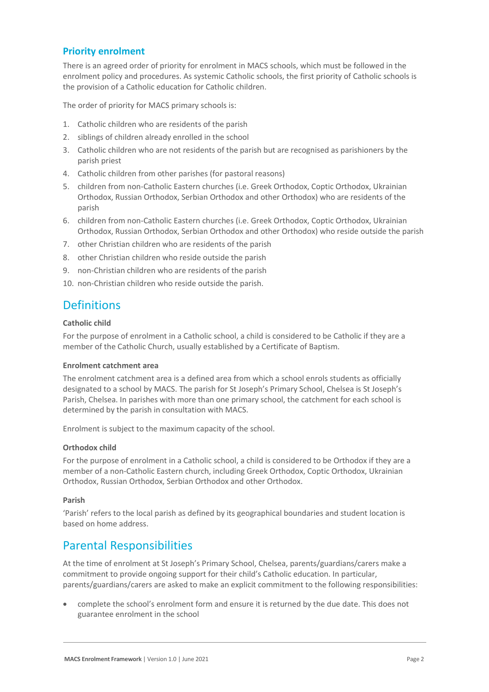### **Priority enrolment**

There is an agreed order of priority for enrolment in MACS schools, which must be followed in the enrolment policy and procedures. As systemic Catholic schools, the first priority of Catholic schools is the provision of a Catholic education for Catholic children.

The order of priority for MACS primary schools is:

- 1. Catholic children who are residents of the parish
- 2. siblings of children already enrolled in the school
- 3. Catholic children who are not residents of the parish but are recognised as parishioners by the parish priest
- 4. Catholic children from other parishes (for pastoral reasons)
- 5. children from non-Catholic Eastern churches (i.e. Greek Orthodox, Coptic Orthodox, Ukrainian Orthodox, Russian Orthodox, Serbian Orthodox and other Orthodox) who are residents of the parish
- 6. children from non-Catholic Eastern churches (i.e. Greek Orthodox, Coptic Orthodox, Ukrainian Orthodox, Russian Orthodox, Serbian Orthodox and other Orthodox) who reside outside the parish
- 7. other Christian children who are residents of the parish
- 8. other Christian children who reside outside the parish
- 9. non-Christian children who are residents of the parish
- 10. non-Christian children who reside outside the parish.

### **Definitions**

#### **Catholic child**

For the purpose of enrolment in a Catholic school, a child is considered to be Catholic if they are a member of the Catholic Church, usually established by a Certificate of Baptism.

#### **Enrolment catchment area**

The enrolment catchment area is a defined area from which a school enrols students as officially designated to a school by MACS. The parish for St Joseph's Primary School, Chelsea is St Joseph's Parish, Chelsea. In parishes with more than one primary school, the catchment for each school is determined by the parish in consultation with MACS.

Enrolment is subject to the maximum capacity of the school.

#### **Orthodox child**

For the purpose of enrolment in a Catholic school, a child is considered to be Orthodox if they are a member of a non-Catholic Eastern church, including Greek Orthodox, Coptic Orthodox, Ukrainian Orthodox, Russian Orthodox, Serbian Orthodox and other Orthodox.

#### **Parish**

'Parish' refers to the local parish as defined by its geographical boundaries and student location is based on home address.

## Parental Responsibilities

At the time of enrolment at St Joseph's Primary School, Chelsea, parents/guardians/carers make a commitment to provide ongoing support for their child's Catholic education. In particular, parents/guardians/carers are asked to make an explicit commitment to the following responsibilities:

• complete the school's enrolment form and ensure it is returned by the due date. This does not guarantee enrolment in the school